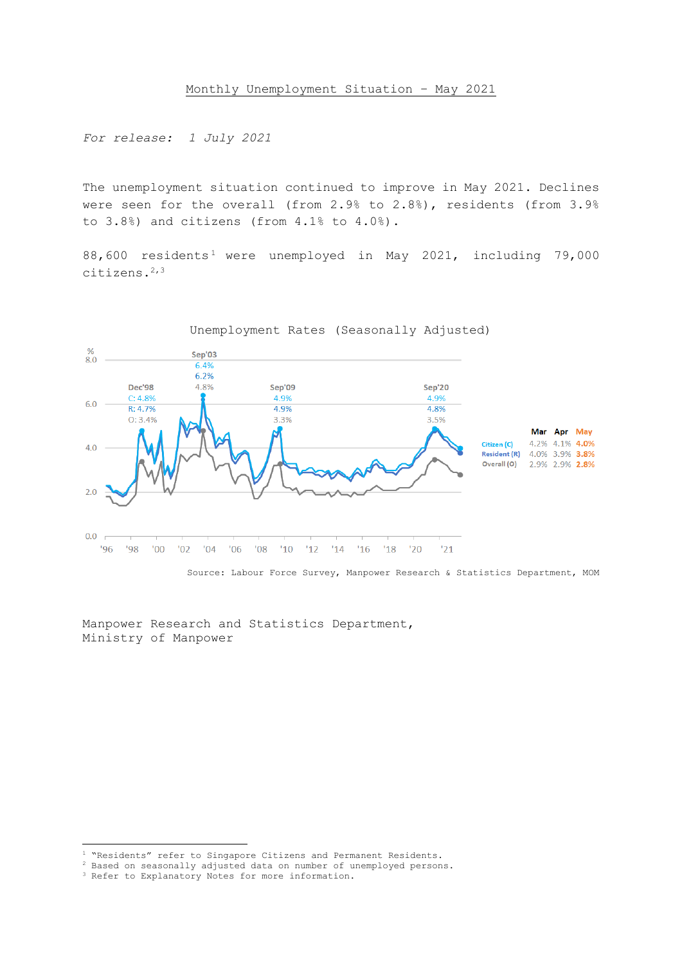*For release: 1 July 2021*

The unemployment situation continued to improve in May 2021. Declines were seen for the overall (from 2.9% to 2.8%), residents (from 3.9% to 3.8%) and citizens (from 4.1% to 4.0%).

88,600 residents<sup>1</sup> were unemployed in May 2021, including 79,000 citizens.2,3



Source: Labour Force Survey, Manpower Research & Statistics Department, MOM

Manpower Research and Statistics Department, Ministry of Manpower

<sup>1</sup> "Residents" refer to Singapore Citizens and Permanent Residents.

<sup>2</sup> Based on seasonally adjusted data on number of unemployed persons.

<sup>&</sup>lt;sup>3</sup> Refer to Explanatory Notes for more information.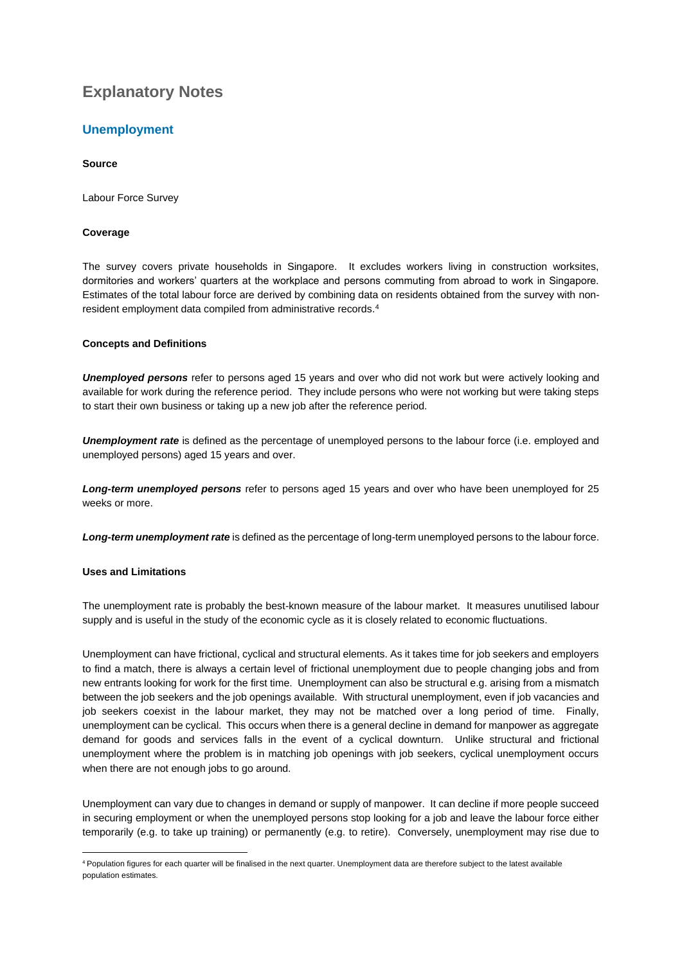# **Explanatory Notes**

# **Unemployment**

# **Source**

Labour Force Survey

# **Coverage**

The survey covers private households in Singapore. It excludes workers living in construction worksites, dormitories and workers' quarters at the workplace and persons commuting from abroad to work in Singapore. Estimates of the total labour force are derived by combining data on residents obtained from the survey with nonresident employment data compiled from administrative records.<sup>4</sup>

# **Concepts and Definitions**

*Unemployed persons* refer to persons aged 15 years and over who did not work but were actively looking and available for work during the reference period. They include persons who were not working but were taking steps to start their own business or taking up a new job after the reference period.

*Unemployment rate* is defined as the percentage of unemployed persons to the labour force (i.e. employed and unemployed persons) aged 15 years and over.

*Long-term unemployed persons* refer to persons aged 15 years and over who have been unemployed for 25 weeks or more.

*Long-term unemployment rate* is defined as the percentage of long-term unemployed persons to the labour force.

# **Uses and Limitations**

The unemployment rate is probably the best-known measure of the labour market. It measures unutilised labour supply and is useful in the study of the economic cycle as it is closely related to economic fluctuations.

Unemployment can have frictional, cyclical and structural elements. As it takes time for job seekers and employers to find a match, there is always a certain level of frictional unemployment due to people changing jobs and from new entrants looking for work for the first time. Unemployment can also be structural e.g. arising from a mismatch between the job seekers and the job openings available. With structural unemployment, even if job vacancies and job seekers coexist in the labour market, they may not be matched over a long period of time. Finally, unemployment can be cyclical. This occurs when there is a general decline in demand for manpower as aggregate demand for goods and services falls in the event of a cyclical downturn. Unlike structural and frictional unemployment where the problem is in matching job openings with job seekers, cyclical unemployment occurs when there are not enough jobs to go around.

Unemployment can vary due to changes in demand or supply of manpower. It can decline if more people succeed in securing employment or when the unemployed persons stop looking for a job and leave the labour force either temporarily (e.g. to take up training) or permanently (e.g. to retire). Conversely, unemployment may rise due to

<sup>4</sup> Population figures for each quarter will be finalised in the next quarter. Unemployment data are therefore subject to the latest available population estimates.